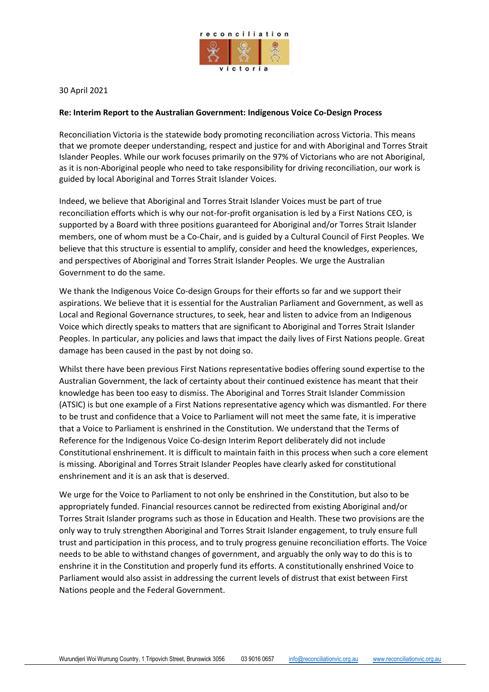

30 April 2021

## **Re: Interim Report to the Australian Government: Indigenous Voice Co-Design Process**

Reconciliation Victoria is the statewide body promoting reconciliation across Victoria. This means that we promote deeper understanding, respect and justice for and with Aboriginal and Torres Strait Islander Peoples. While our work focuses primarily on the 97% of Victorians who are not Aboriginal, as it is non-Aboriginal people who need to take responsibility for driving reconciliation, our work is guided by local Aboriginal and Torres Strait Islander Voices.

Indeed, we believe that Aboriginal and Torres Strait Islander Voices must be part of true reconciliation efforts which is why our not-for-profit organisation is led by a First Nations CEO, is supported by a Board with three positions guaranteed for Aboriginal and/or Torres Strait Islander members, one of whom must be a Co-Chair, and is guided by a Cultural Council of First Peoples. We believe that this structure is essential to amplify, consider and heed the knowledges, experiences, and perspectives of Aboriginal and Torres Strait Islander Peoples. We urge the Australian Government to do the same.

We thank the Indigenous Voice Co-design Groups for their efforts so far and we support their aspirations. We believe that it is essential for the Australian Parliament and Government, as well as Local and Regional Governance structures, to seek, hear and listen to advice from an Indigenous Voice which directly speaks to matters that are significant to Aboriginal and Torres Strait Islander Peoples. In particular, any policies and laws that impact the daily lives of First Nations people. Great damage has been caused in the past by not doing so.

Whilst there have been previous First Nations representative bodies offering sound expertise to the Australian Government, the lack of certainty about their continued existence has meant that their knowledge has been too easy to dismiss. The Aboriginal and Torres Strait Islander Commission (ATSIC) is but one example of a First Nations representative agency which was dismantled. For there to be trust and confidence that a Voice to Parliament will not meet the same fate, it is imperative that a Voice to Parliament is enshrined in the Constitution. We understand that the Terms of Reference for the Indigenous Voice Co-design Interim Report deliberately did not include Constitutional enshrinement. It is difficult to maintain faith in this process when such a core element is missing. Aboriginal and Torres Strait Islander Peoples have clearly asked for constitutional enshrinement and it is an ask that is deserved.

We urge for the Voice to Parliament to not only be enshrined in the Constitution, but also to be appropriately funded. Financial resources cannot be redirected from existing Aboriginal and/or Torres Strait Islander programs such as those in Education and Health. These two provisions are the only way to truly strengthen Aboriginal and Torres Strait Islander engagement, to truly ensure full trust and participation in this process, and to truly progress genuine reconciliation efforts. The Voice needs to be able to withstand changes of government, and arguably the only way to do this is to enshrine it in the Constitution and properly fund its efforts. A constitutionally enshrined Voice to Parliament would also assist in addressing the current levels of distrust that exist between First Nations people and the Federal Government.